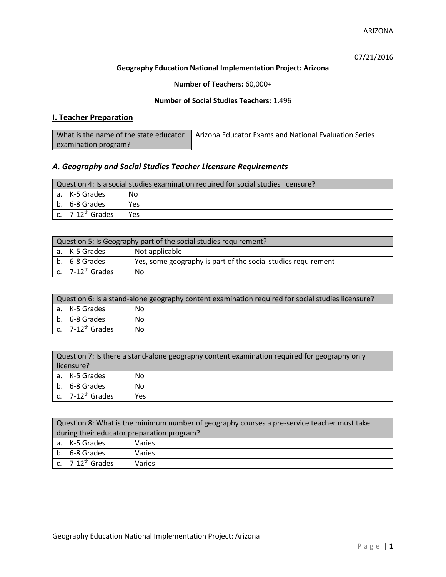ARIZONA

07/21/2016

## **Geography Education National Implementation Project: Arizona**

**Number of Teachers:** 60,000+

## **Number of Social Studies Teachers:** 1,496

# **I. Teacher Preparation**

| What is the name of the state educator | Arizona Educator Exams and National Evaluation Series |
|----------------------------------------|-------------------------------------------------------|
| examination program?                   |                                                       |

# *A. Geography and Social Studies Teacher Licensure Requirements*

| Question 4: Is a social studies examination required for social studies licensure? |                              |     |  |  |
|------------------------------------------------------------------------------------|------------------------------|-----|--|--|
|                                                                                    | a. K-5 Grades<br>No          |     |  |  |
|                                                                                    | b. 6-8 Grades                | Yes |  |  |
|                                                                                    | c. 7-12 <sup>th</sup> Grades | Yes |  |  |

| Question 5: Is Geography part of the social studies requirement? |                                                               |  |  |
|------------------------------------------------------------------|---------------------------------------------------------------|--|--|
| a. K-5 Grades                                                    | Not applicable                                                |  |  |
| b. 6-8 Grades                                                    | Yes, some geography is part of the social studies requirement |  |  |
| $\vert$ c. 7-12 <sup>th</sup> Grades                             | No                                                            |  |  |

| Question 6: Is a stand-alone geography content examination required for social studies licensure? |     |  |  |
|---------------------------------------------------------------------------------------------------|-----|--|--|
| a. K-5 Grades                                                                                     | No  |  |  |
| b. 6-8 Grades                                                                                     | No  |  |  |
| c. 7-12 <sup>th</sup> Grades                                                                      | No. |  |  |

| Question 7: Is there a stand-alone geography content examination required for geography only<br>licensure? |     |  |
|------------------------------------------------------------------------------------------------------------|-----|--|
| a. K-5 Grades                                                                                              | No  |  |
| b. 6-8 Grades                                                                                              | No  |  |
| c. $7-12^{th}$ Grades                                                                                      | Yes |  |

|                                            | Question 8: What is the minimum number of geography courses a pre-service teacher must take |        |  |
|--------------------------------------------|---------------------------------------------------------------------------------------------|--------|--|
| during their educator preparation program? |                                                                                             |        |  |
|                                            | a. K-5 Grades                                                                               | Varies |  |
|                                            | b. 6-8 Grades                                                                               | Varies |  |
|                                            | c. $7-12^{th}$ Grades                                                                       | Varies |  |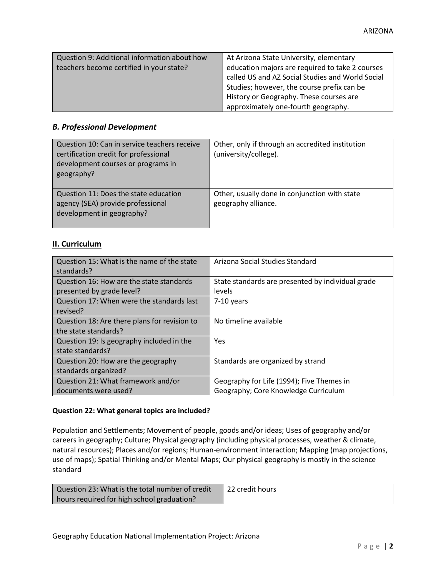| Question 9: Additional information about how | At Arizona State University, elementary          |
|----------------------------------------------|--------------------------------------------------|
| teachers become certified in your state?     | education majors are required to take 2 courses  |
|                                              | called US and AZ Social Studies and World Social |
|                                              | Studies; however, the course prefix can be       |
|                                              | History or Geography. These courses are          |
|                                              | approximately one-fourth geography.              |

### *B. Professional Development*

| Question 10: Can in service teachers receive<br>certification credit for professional<br>development courses or programs in<br>geography? | Other, only if through an accredited institution<br>(university/college). |
|-------------------------------------------------------------------------------------------------------------------------------------------|---------------------------------------------------------------------------|
| Question 11: Does the state education<br>agency (SEA) provide professional<br>development in geography?                                   | Other, usually done in conjunction with state<br>geography alliance.      |

## **II. Curriculum**

| Question 15: What is the name of the state<br>standards? | Arizona Social Studies Standard                   |
|----------------------------------------------------------|---------------------------------------------------|
| Question 16: How are the state standards                 | State standards are presented by individual grade |
| presented by grade level?                                | levels                                            |
| Question 17: When were the standards last                | 7-10 years                                        |
| revised?                                                 |                                                   |
| Question 18: Are there plans for revision to             | No timeline available                             |
| the state standards?                                     |                                                   |
| Question 19: Is geography included in the                | <b>Yes</b>                                        |
| state standards?                                         |                                                   |
| Question 20: How are the geography                       | Standards are organized by strand                 |
| standards organized?                                     |                                                   |
| Question 21: What framework and/or                       | Geography for Life (1994); Five Themes in         |
| documents were used?                                     | Geography; Core Knowledge Curriculum              |

### **Question 22: What general topics are included?**

Population and Settlements; Movement of people, goods and/or ideas; Uses of geography and/or careers in geography; Culture; Physical geography (including physical processes, weather & climate, natural resources); Places and/or regions; Human-environment interaction; Mapping (map projections, use of maps); Spatial Thinking and/or Mental Maps; Our physical geography is mostly in the science standard

| Question 23: What is the total number of credit | $\parallel$ 22 credit hours $\parallel$ |
|-------------------------------------------------|-----------------------------------------|
| hours required for high school graduation?      |                                         |